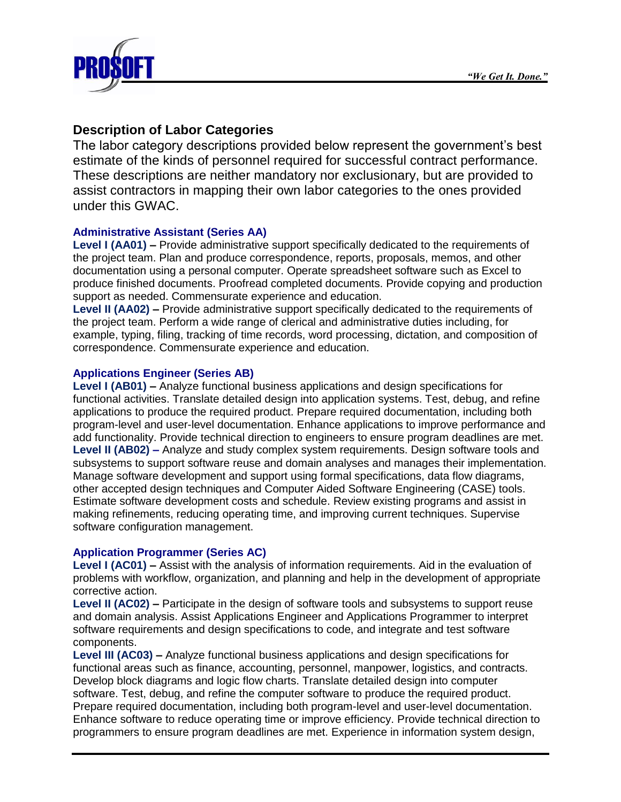

# **Description of Labor Categories**

The labor category descriptions provided below represent the government's best estimate of the kinds of personnel required for successful contract performance. These descriptions are neither mandatory nor exclusionary, but are provided to assist contractors in mapping their own labor categories to the ones provided under this GWAC.

## **Administrative Assistant (Series AA)**

**Level I (AA01) –** Provide administrative support specifically dedicated to the requirements of the project team. Plan and produce correspondence, reports, proposals, memos, and other documentation using a personal computer. Operate spreadsheet software such as Excel to produce finished documents. Proofread completed documents. Provide copying and production support as needed. Commensurate experience and education.

**Level II (AA02) –** Provide administrative support specifically dedicated to the requirements of the project team. Perform a wide range of clerical and administrative duties including, for example, typing, filing, tracking of time records, word processing, dictation, and composition of correspondence. Commensurate experience and education.

## **Applications Engineer (Series AB)**

**Level I (AB01) –** Analyze functional business applications and design specifications for functional activities. Translate detailed design into application systems. Test, debug, and refine applications to produce the required product. Prepare required documentation, including both program-level and user-level documentation. Enhance applications to improve performance and add functionality. Provide technical direction to engineers to ensure program deadlines are met. **Level II (AB02) –** Analyze and study complex system requirements. Design software tools and subsystems to support software reuse and domain analyses and manages their implementation. Manage software development and support using formal specifications, data flow diagrams, other accepted design techniques and Computer Aided Software Engineering (CASE) tools. Estimate software development costs and schedule. Review existing programs and assist in making refinements, reducing operating time, and improving current techniques. Supervise software configuration management.

## **Application Programmer (Series AC)**

**Level I (AC01) –** Assist with the analysis of information requirements. Aid in the evaluation of problems with workflow, organization, and planning and help in the development of appropriate corrective action.

**Level II (AC02) –** Participate in the design of software tools and subsystems to support reuse and domain analysis. Assist Applications Engineer and Applications Programmer to interpret software requirements and design specifications to code, and integrate and test software components.

**Level III (AC03) –** Analyze functional business applications and design specifications for functional areas such as finance, accounting, personnel, manpower, logistics, and contracts. Develop block diagrams and logic flow charts. Translate detailed design into computer software. Test, debug, and refine the computer software to produce the required product. Prepare required documentation, including both program-level and user-level documentation. Enhance software to reduce operating time or improve efficiency. Provide technical direction to programmers to ensure program deadlines are met. Experience in information system design,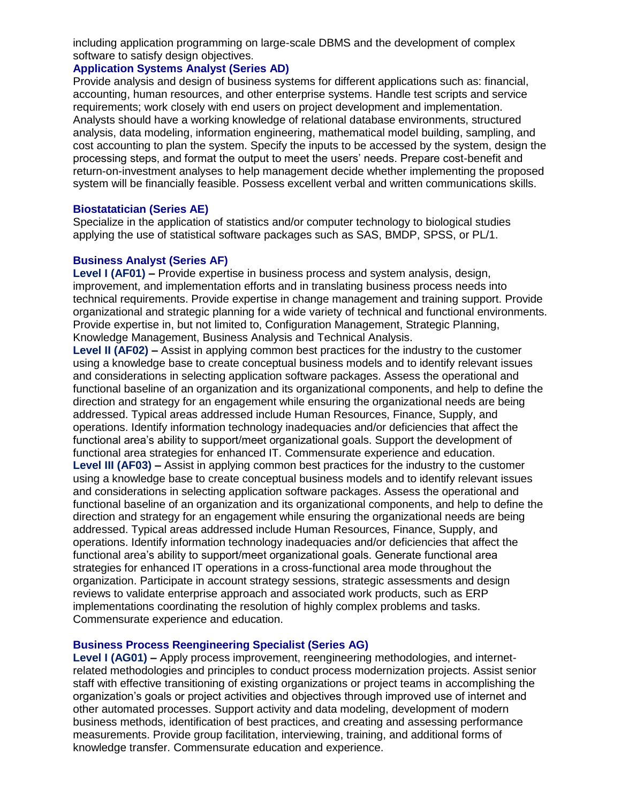including application programming on large-scale DBMS and the development of complex software to satisfy design objectives.

## **Application Systems Analyst (Series AD)**

Provide analysis and design of business systems for different applications such as: financial, accounting, human resources, and other enterprise systems. Handle test scripts and service requirements; work closely with end users on project development and implementation. Analysts should have a working knowledge of relational database environments, structured analysis, data modeling, information engineering, mathematical model building, sampling, and cost accounting to plan the system. Specify the inputs to be accessed by the system, design the processing steps, and format the output to meet the users' needs. Prepare cost-benefit and return-on-investment analyses to help management decide whether implementing the proposed system will be financially feasible. Possess excellent verbal and written communications skills.

## **Biostatatician (Series AE)**

Specialize in the application of statistics and/or computer technology to biological studies applying the use of statistical software packages such as SAS, BMDP, SPSS, or PL/1.

## **Business Analyst (Series AF)**

**Level I (AF01) –** Provide expertise in business process and system analysis, design, improvement, and implementation efforts and in translating business process needs into technical requirements. Provide expertise in change management and training support. Provide organizational and strategic planning for a wide variety of technical and functional environments. Provide expertise in, but not limited to, Configuration Management, Strategic Planning, Knowledge Management, Business Analysis and Technical Analysis.

**Level II (AF02) –** Assist in applying common best practices for the industry to the customer using a knowledge base to create conceptual business models and to identify relevant issues and considerations in selecting application software packages. Assess the operational and functional baseline of an organization and its organizational components, and help to define the direction and strategy for an engagement while ensuring the organizational needs are being addressed. Typical areas addressed include Human Resources, Finance, Supply, and operations. Identify information technology inadequacies and/or deficiencies that affect the functional area's ability to support/meet organizational goals. Support the development of functional area strategies for enhanced IT. Commensurate experience and education. **Level III (AF03) –** Assist in applying common best practices for the industry to the customer using a knowledge base to create conceptual business models and to identify relevant issues and considerations in selecting application software packages. Assess the operational and functional baseline of an organization and its organizational components, and help to define the direction and strategy for an engagement while ensuring the organizational needs are being addressed. Typical areas addressed include Human Resources, Finance, Supply, and operations. Identify information technology inadequacies and/or deficiencies that affect the functional area's ability to support/meet organizational goals. Generate functional area strategies for enhanced IT operations in a cross-functional area mode throughout the organization. Participate in account strategy sessions, strategic assessments and design reviews to validate enterprise approach and associated work products, such as ERP implementations coordinating the resolution of highly complex problems and tasks. Commensurate experience and education.

## **Business Process Reengineering Specialist (Series AG)**

**Level I (AG01) –** Apply process improvement, reengineering methodologies, and internetrelated methodologies and principles to conduct process modernization projects. Assist senior staff with effective transitioning of existing organizations or project teams in accomplishing the organization's goals or project activities and objectives through improved use of internet and other automated processes. Support activity and data modeling, development of modern business methods, identification of best practices, and creating and assessing performance measurements. Provide group facilitation, interviewing, training, and additional forms of knowledge transfer. Commensurate education and experience.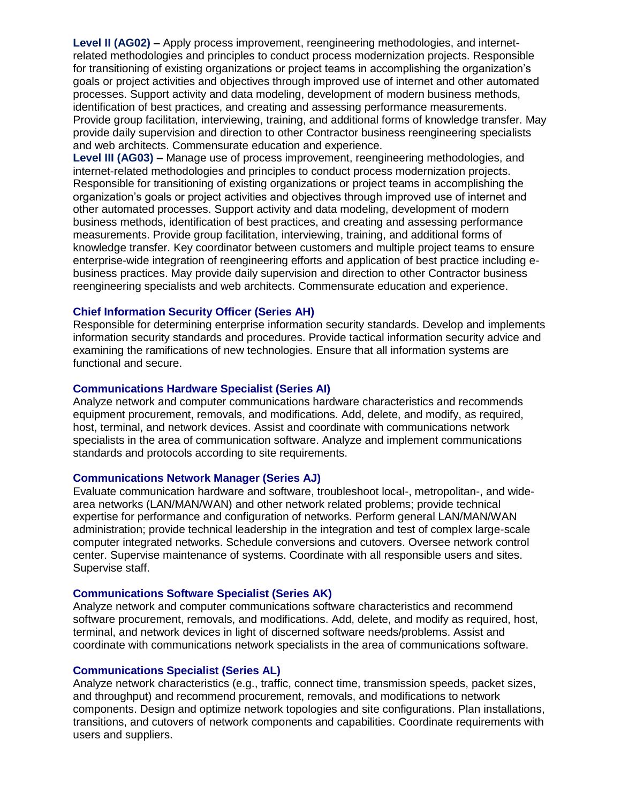**Level II (AG02) –** Apply process improvement, reengineering methodologies, and internetrelated methodologies and principles to conduct process modernization projects. Responsible for transitioning of existing organizations or project teams in accomplishing the organization's goals or project activities and objectives through improved use of internet and other automated processes. Support activity and data modeling, development of modern business methods, identification of best practices, and creating and assessing performance measurements. Provide group facilitation, interviewing, training, and additional forms of knowledge transfer. May provide daily supervision and direction to other Contractor business reengineering specialists and web architects. Commensurate education and experience.

**Level III (AG03) –** Manage use of process improvement, reengineering methodologies, and internet-related methodologies and principles to conduct process modernization projects. Responsible for transitioning of existing organizations or project teams in accomplishing the organization's goals or project activities and objectives through improved use of internet and other automated processes. Support activity and data modeling, development of modern business methods, identification of best practices, and creating and assessing performance measurements. Provide group facilitation, interviewing, training, and additional forms of knowledge transfer. Key coordinator between customers and multiple project teams to ensure enterprise-wide integration of reengineering efforts and application of best practice including ebusiness practices. May provide daily supervision and direction to other Contractor business reengineering specialists and web architects. Commensurate education and experience.

#### **Chief Information Security Officer (Series AH)**

Responsible for determining enterprise information security standards. Develop and implements information security standards and procedures. Provide tactical information security advice and examining the ramifications of new technologies. Ensure that all information systems are functional and secure.

#### **Communications Hardware Specialist (Series AI)**

Analyze network and computer communications hardware characteristics and recommends equipment procurement, removals, and modifications. Add, delete, and modify, as required, host, terminal, and network devices. Assist and coordinate with communications network specialists in the area of communication software. Analyze and implement communications standards and protocols according to site requirements.

#### **Communications Network Manager (Series AJ)**

Evaluate communication hardware and software, troubleshoot local-, metropolitan-, and widearea networks (LAN/MAN/WAN) and other network related problems; provide technical expertise for performance and configuration of networks. Perform general LAN/MAN/WAN administration; provide technical leadership in the integration and test of complex large-scale computer integrated networks. Schedule conversions and cutovers. Oversee network control center. Supervise maintenance of systems. Coordinate with all responsible users and sites. Supervise staff.

#### **Communications Software Specialist (Series AK)**

Analyze network and computer communications software characteristics and recommend software procurement, removals, and modifications. Add, delete, and modify as required, host, terminal, and network devices in light of discerned software needs/problems. Assist and coordinate with communications network specialists in the area of communications software.

#### **Communications Specialist (Series AL)**

Analyze network characteristics (e.g., traffic, connect time, transmission speeds, packet sizes, and throughput) and recommend procurement, removals, and modifications to network components. Design and optimize network topologies and site configurations. Plan installations, transitions, and cutovers of network components and capabilities. Coordinate requirements with users and suppliers.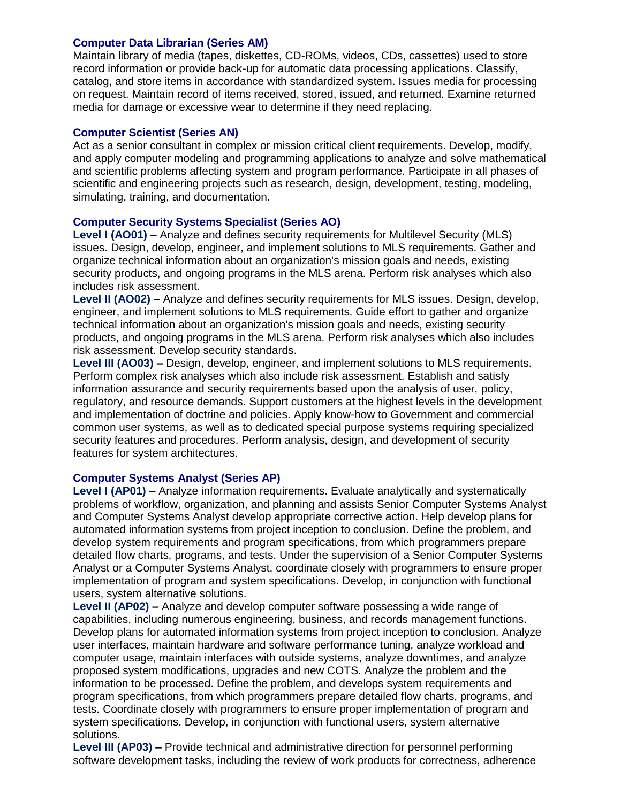#### **Computer Data Librarian (Series AM)**

Maintain library of media (tapes, diskettes, CD-ROMs, videos, CDs, cassettes) used to store record information or provide back-up for automatic data processing applications. Classify, catalog, and store items in accordance with standardized system. Issues media for processing on request. Maintain record of items received, stored, issued, and returned. Examine returned media for damage or excessive wear to determine if they need replacing.

## **Computer Scientist (Series AN)**

Act as a senior consultant in complex or mission critical client requirements. Develop, modify, and apply computer modeling and programming applications to analyze and solve mathematical and scientific problems affecting system and program performance. Participate in all phases of scientific and engineering projects such as research, design, development, testing, modeling, simulating, training, and documentation.

## **Computer Security Systems Specialist (Series AO)**

**Level I (AO01) –** Analyze and defines security requirements for Multilevel Security (MLS) issues. Design, develop, engineer, and implement solutions to MLS requirements. Gather and organize technical information about an organization's mission goals and needs, existing security products, and ongoing programs in the MLS arena. Perform risk analyses which also includes risk assessment.

**Level II (AO02) –** Analyze and defines security requirements for MLS issues. Design, develop, engineer, and implement solutions to MLS requirements. Guide effort to gather and organize technical information about an organization's mission goals and needs, existing security products, and ongoing programs in the MLS arena. Perform risk analyses which also includes risk assessment. Develop security standards.

**Level III (AO03) –** Design, develop, engineer, and implement solutions to MLS requirements. Perform complex risk analyses which also include risk assessment. Establish and satisfy information assurance and security requirements based upon the analysis of user, policy, regulatory, and resource demands. Support customers at the highest levels in the development and implementation of doctrine and policies. Apply know-how to Government and commercial common user systems, as well as to dedicated special purpose systems requiring specialized security features and procedures. Perform analysis, design, and development of security features for system architectures.

## **Computer Systems Analyst (Series AP)**

**Level I (AP01) –** Analyze information requirements. Evaluate analytically and systematically problems of workflow, organization, and planning and assists Senior Computer Systems Analyst and Computer Systems Analyst develop appropriate corrective action. Help develop plans for automated information systems from project inception to conclusion. Define the problem, and develop system requirements and program specifications, from which programmers prepare detailed flow charts, programs, and tests. Under the supervision of a Senior Computer Systems Analyst or a Computer Systems Analyst, coordinate closely with programmers to ensure proper implementation of program and system specifications. Develop, in conjunction with functional users, system alternative solutions.

**Level II (AP02) –** Analyze and develop computer software possessing a wide range of capabilities, including numerous engineering, business, and records management functions. Develop plans for automated information systems from project inception to conclusion. Analyze user interfaces, maintain hardware and software performance tuning, analyze workload and computer usage, maintain interfaces with outside systems, analyze downtimes, and analyze proposed system modifications, upgrades and new COTS. Analyze the problem and the information to be processed. Define the problem, and develops system requirements and program specifications, from which programmers prepare detailed flow charts, programs, and tests. Coordinate closely with programmers to ensure proper implementation of program and system specifications. Develop, in conjunction with functional users, system alternative solutions.

**Level III (AP03) –** Provide technical and administrative direction for personnel performing software development tasks, including the review of work products for correctness, adherence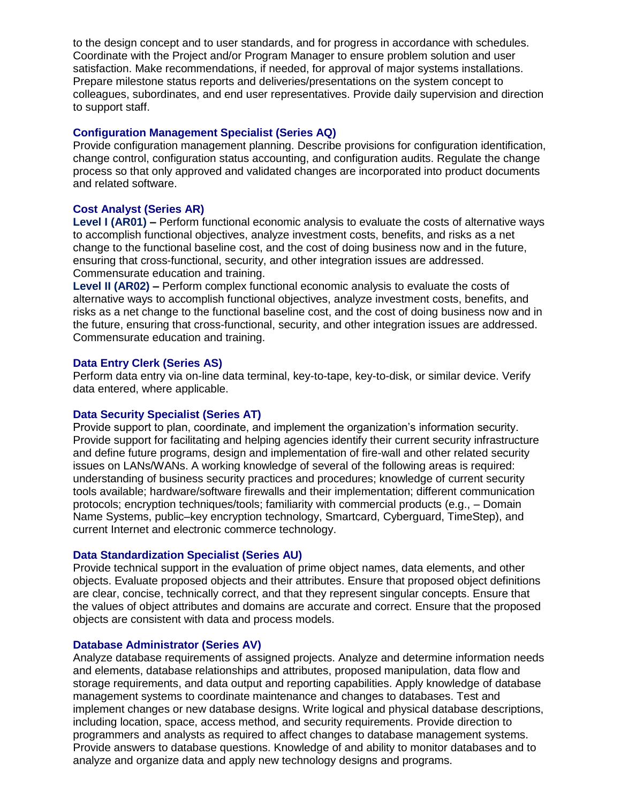to the design concept and to user standards, and for progress in accordance with schedules. Coordinate with the Project and/or Program Manager to ensure problem solution and user satisfaction. Make recommendations, if needed, for approval of major systems installations. Prepare milestone status reports and deliveries/presentations on the system concept to colleagues, subordinates, and end user representatives. Provide daily supervision and direction to support staff.

### **Configuration Management Specialist (Series AQ)**

Provide configuration management planning. Describe provisions for configuration identification, change control, configuration status accounting, and configuration audits. Regulate the change process so that only approved and validated changes are incorporated into product documents and related software.

## **Cost Analyst (Series AR)**

**Level I (AR01) –** Perform functional economic analysis to evaluate the costs of alternative ways to accomplish functional objectives, analyze investment costs, benefits, and risks as a net change to the functional baseline cost, and the cost of doing business now and in the future, ensuring that cross-functional, security, and other integration issues are addressed. Commensurate education and training.

**Level II (AR02) –** Perform complex functional economic analysis to evaluate the costs of alternative ways to accomplish functional objectives, analyze investment costs, benefits, and risks as a net change to the functional baseline cost, and the cost of doing business now and in the future, ensuring that cross-functional, security, and other integration issues are addressed. Commensurate education and training.

## **Data Entry Clerk (Series AS)**

Perform data entry via on-line data terminal, key-to-tape, key-to-disk, or similar device. Verify data entered, where applicable.

## **Data Security Specialist (Series AT)**

Provide support to plan, coordinate, and implement the organization's information security. Provide support for facilitating and helping agencies identify their current security infrastructure and define future programs, design and implementation of fire-wall and other related security issues on LANs/WANs. A working knowledge of several of the following areas is required: understanding of business security practices and procedures; knowledge of current security tools available; hardware/software firewalls and their implementation; different communication protocols; encryption techniques/tools; familiarity with commercial products (e.g., – Domain Name Systems, public–key encryption technology, Smartcard, Cyberguard, TimeStep), and current Internet and electronic commerce technology.

#### **Data Standardization Specialist (Series AU)**

Provide technical support in the evaluation of prime object names, data elements, and other objects. Evaluate proposed objects and their attributes. Ensure that proposed object definitions are clear, concise, technically correct, and that they represent singular concepts. Ensure that the values of object attributes and domains are accurate and correct. Ensure that the proposed objects are consistent with data and process models.

#### **Database Administrator (Series AV)**

Analyze database requirements of assigned projects. Analyze and determine information needs and elements, database relationships and attributes, proposed manipulation, data flow and storage requirements, and data output and reporting capabilities. Apply knowledge of database management systems to coordinate maintenance and changes to databases. Test and implement changes or new database designs. Write logical and physical database descriptions, including location, space, access method, and security requirements. Provide direction to programmers and analysts as required to affect changes to database management systems. Provide answers to database questions. Knowledge of and ability to monitor databases and to analyze and organize data and apply new technology designs and programs.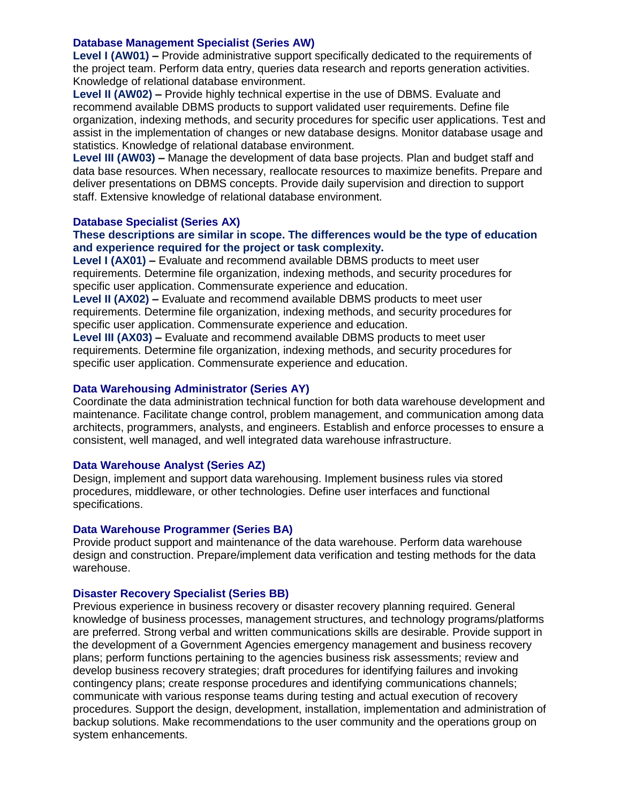## **Database Management Specialist (Series AW)**

**Level I (AW01) –** Provide administrative support specifically dedicated to the requirements of the project team. Perform data entry, queries data research and reports generation activities. Knowledge of relational database environment.

**Level II (AW02) –** Provide highly technical expertise in the use of DBMS. Evaluate and recommend available DBMS products to support validated user requirements. Define file organization, indexing methods, and security procedures for specific user applications. Test and assist in the implementation of changes or new database designs. Monitor database usage and statistics. Knowledge of relational database environment.

**Level III (AW03) –** Manage the development of data base projects. Plan and budget staff and data base resources. When necessary, reallocate resources to maximize benefits. Prepare and deliver presentations on DBMS concepts. Provide daily supervision and direction to support staff. Extensive knowledge of relational database environment.

#### **Database Specialist (Series AX)**

## **These descriptions are similar in scope. The differences would be the type of education and experience required for the project or task complexity.**

**Level I (AX01) –** Evaluate and recommend available DBMS products to meet user requirements. Determine file organization, indexing methods, and security procedures for specific user application. Commensurate experience and education.

**Level II (AX02) –** Evaluate and recommend available DBMS products to meet user requirements. Determine file organization, indexing methods, and security procedures for specific user application. Commensurate experience and education.

**Level III (AX03) –** Evaluate and recommend available DBMS products to meet user requirements. Determine file organization, indexing methods, and security procedures for specific user application. Commensurate experience and education.

#### **Data Warehousing Administrator (Series AY)**

Coordinate the data administration technical function for both data warehouse development and maintenance. Facilitate change control, problem management, and communication among data architects, programmers, analysts, and engineers. Establish and enforce processes to ensure a consistent, well managed, and well integrated data warehouse infrastructure.

#### **Data Warehouse Analyst (Series AZ)**

Design, implement and support data warehousing. Implement business rules via stored procedures, middleware, or other technologies. Define user interfaces and functional specifications.

#### **Data Warehouse Programmer (Series BA)**

Provide product support and maintenance of the data warehouse. Perform data warehouse design and construction. Prepare/implement data verification and testing methods for the data warehouse.

#### **Disaster Recovery Specialist (Series BB)**

Previous experience in business recovery or disaster recovery planning required. General knowledge of business processes, management structures, and technology programs/platforms are preferred. Strong verbal and written communications skills are desirable. Provide support in the development of a Government Agencies emergency management and business recovery plans; perform functions pertaining to the agencies business risk assessments; review and develop business recovery strategies; draft procedures for identifying failures and invoking contingency plans; create response procedures and identifying communications channels; communicate with various response teams during testing and actual execution of recovery procedures. Support the design, development, installation, implementation and administration of backup solutions. Make recommendations to the user community and the operations group on system enhancements.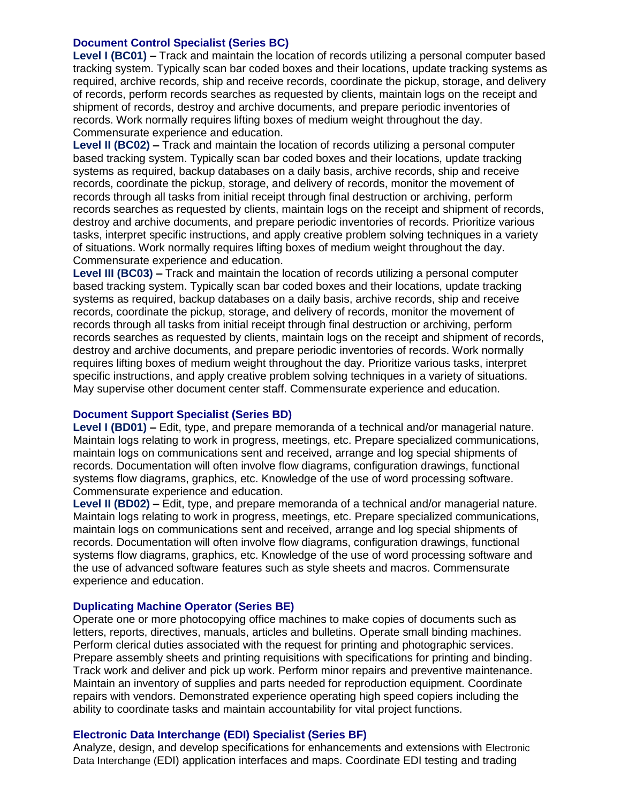### **Document Control Specialist (Series BC)**

**Level I (BC01) –** Track and maintain the location of records utilizing a personal computer based tracking system. Typically scan bar coded boxes and their locations, update tracking systems as required, archive records, ship and receive records, coordinate the pickup, storage, and delivery of records, perform records searches as requested by clients, maintain logs on the receipt and shipment of records, destroy and archive documents, and prepare periodic inventories of records. Work normally requires lifting boxes of medium weight throughout the day. Commensurate experience and education.

**Level II (BC02) –** Track and maintain the location of records utilizing a personal computer based tracking system. Typically scan bar coded boxes and their locations, update tracking systems as required, backup databases on a daily basis, archive records, ship and receive records, coordinate the pickup, storage, and delivery of records, monitor the movement of records through all tasks from initial receipt through final destruction or archiving, perform records searches as requested by clients, maintain logs on the receipt and shipment of records, destroy and archive documents, and prepare periodic inventories of records. Prioritize various tasks, interpret specific instructions, and apply creative problem solving techniques in a variety of situations. Work normally requires lifting boxes of medium weight throughout the day. Commensurate experience and education.

**Level III (BC03) –** Track and maintain the location of records utilizing a personal computer based tracking system. Typically scan bar coded boxes and their locations, update tracking systems as required, backup databases on a daily basis, archive records, ship and receive records, coordinate the pickup, storage, and delivery of records, monitor the movement of records through all tasks from initial receipt through final destruction or archiving, perform records searches as requested by clients, maintain logs on the receipt and shipment of records, destroy and archive documents, and prepare periodic inventories of records. Work normally requires lifting boxes of medium weight throughout the day. Prioritize various tasks, interpret specific instructions, and apply creative problem solving techniques in a variety of situations. May supervise other document center staff. Commensurate experience and education.

#### **Document Support Specialist (Series BD)**

**Level I (BD01) –** Edit, type, and prepare memoranda of a technical and/or managerial nature. Maintain logs relating to work in progress, meetings, etc. Prepare specialized communications, maintain logs on communications sent and received, arrange and log special shipments of records. Documentation will often involve flow diagrams, configuration drawings, functional systems flow diagrams, graphics, etc. Knowledge of the use of word processing software. Commensurate experience and education.

**Level II (BD02) –** Edit, type, and prepare memoranda of a technical and/or managerial nature. Maintain logs relating to work in progress, meetings, etc. Prepare specialized communications, maintain logs on communications sent and received, arrange and log special shipments of records. Documentation will often involve flow diagrams, configuration drawings, functional systems flow diagrams, graphics, etc. Knowledge of the use of word processing software and the use of advanced software features such as style sheets and macros. Commensurate experience and education.

#### **Duplicating Machine Operator (Series BE)**

Operate one or more photocopying office machines to make copies of documents such as letters, reports, directives, manuals, articles and bulletins. Operate small binding machines. Perform clerical duties associated with the request for printing and photographic services. Prepare assembly sheets and printing requisitions with specifications for printing and binding. Track work and deliver and pick up work. Perform minor repairs and preventive maintenance. Maintain an inventory of supplies and parts needed for reproduction equipment. Coordinate repairs with vendors. Demonstrated experience operating high speed copiers including the ability to coordinate tasks and maintain accountability for vital project functions.

#### **Electronic Data Interchange (EDI) Specialist (Series BF)**

Analyze, design, and develop specifications for enhancements and extensions with Electronic Data Interchange (EDI) application interfaces and maps. Coordinate EDI testing and trading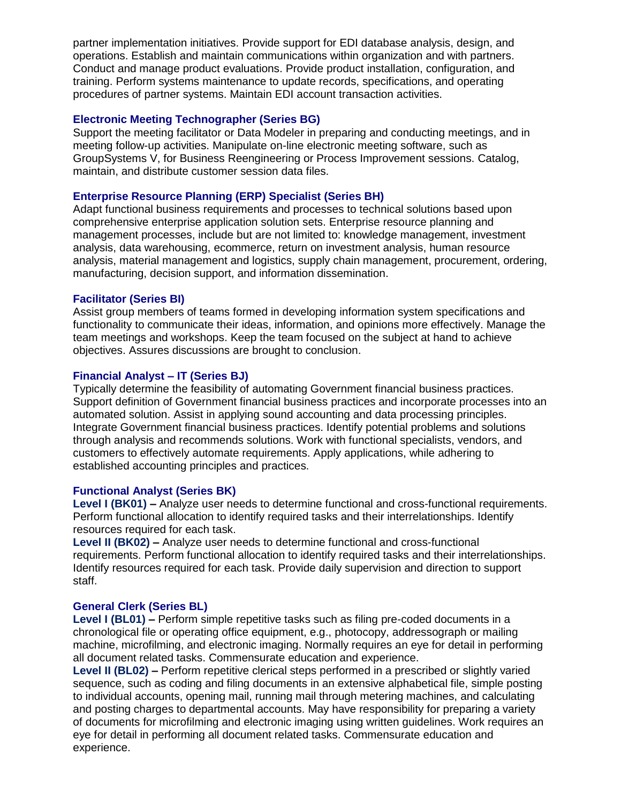partner implementation initiatives. Provide support for EDI database analysis, design, and operations. Establish and maintain communications within organization and with partners. Conduct and manage product evaluations. Provide product installation, configuration, and training. Perform systems maintenance to update records, specifications, and operating procedures of partner systems. Maintain EDI account transaction activities.

### **Electronic Meeting Technographer (Series BG)**

Support the meeting facilitator or Data Modeler in preparing and conducting meetings, and in meeting follow-up activities. Manipulate on-line electronic meeting software, such as GroupSystems V, for Business Reengineering or Process Improvement sessions. Catalog, maintain, and distribute customer session data files.

## **Enterprise Resource Planning (ERP) Specialist (Series BH)**

Adapt functional business requirements and processes to technical solutions based upon comprehensive enterprise application solution sets. Enterprise resource planning and management processes, include but are not limited to: knowledge management, investment analysis, data warehousing, ecommerce, return on investment analysis, human resource analysis, material management and logistics, supply chain management, procurement, ordering, manufacturing, decision support, and information dissemination.

## **Facilitator (Series BI)**

Assist group members of teams formed in developing information system specifications and functionality to communicate their ideas, information, and opinions more effectively. Manage the team meetings and workshops. Keep the team focused on the subject at hand to achieve objectives. Assures discussions are brought to conclusion.

## **Financial Analyst – IT (Series BJ)**

Typically determine the feasibility of automating Government financial business practices. Support definition of Government financial business practices and incorporate processes into an automated solution. Assist in applying sound accounting and data processing principles. Integrate Government financial business practices. Identify potential problems and solutions through analysis and recommends solutions. Work with functional specialists, vendors, and customers to effectively automate requirements. Apply applications, while adhering to established accounting principles and practices.

#### **Functional Analyst (Series BK)**

**Level I (BK01) –** Analyze user needs to determine functional and cross-functional requirements. Perform functional allocation to identify required tasks and their interrelationships. Identify resources required for each task.

**Level II (BK02) –** Analyze user needs to determine functional and cross-functional requirements. Perform functional allocation to identify required tasks and their interrelationships. Identify resources required for each task. Provide daily supervision and direction to support staff.

#### **General Clerk (Series BL)**

**Level I (BL01) –** Perform simple repetitive tasks such as filing pre-coded documents in a chronological file or operating office equipment, e.g., photocopy, addressograph or mailing machine, microfilming, and electronic imaging. Normally requires an eye for detail in performing all document related tasks. Commensurate education and experience.

**Level II (BL02) –** Perform repetitive clerical steps performed in a prescribed or slightly varied sequence, such as coding and filing documents in an extensive alphabetical file, simple posting to individual accounts, opening mail, running mail through metering machines, and calculating and posting charges to departmental accounts. May have responsibility for preparing a variety of documents for microfilming and electronic imaging using written guidelines. Work requires an eye for detail in performing all document related tasks. Commensurate education and experience.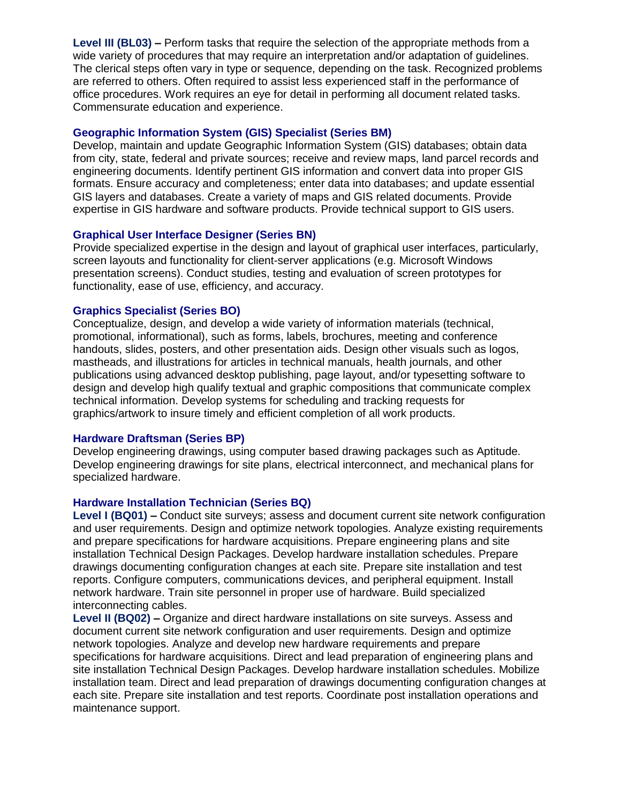**Level III (BL03) –** Perform tasks that require the selection of the appropriate methods from a wide variety of procedures that may require an interpretation and/or adaptation of guidelines. The clerical steps often vary in type or sequence, depending on the task. Recognized problems are referred to others. Often required to assist less experienced staff in the performance of office procedures. Work requires an eye for detail in performing all document related tasks. Commensurate education and experience.

#### **Geographic Information System (GIS) Specialist (Series BM)**

Develop, maintain and update Geographic Information System (GIS) databases; obtain data from city, state, federal and private sources; receive and review maps, land parcel records and engineering documents. Identify pertinent GIS information and convert data into proper GIS formats. Ensure accuracy and completeness; enter data into databases; and update essential GIS layers and databases. Create a variety of maps and GIS related documents. Provide expertise in GIS hardware and software products. Provide technical support to GIS users.

## **Graphical User Interface Designer (Series BN)**

Provide specialized expertise in the design and layout of graphical user interfaces, particularly, screen layouts and functionality for client-server applications (e.g. Microsoft Windows presentation screens). Conduct studies, testing and evaluation of screen prototypes for functionality, ease of use, efficiency, and accuracy.

## **Graphics Specialist (Series BO)**

Conceptualize, design, and develop a wide variety of information materials (technical, promotional, informational), such as forms, labels, brochures, meeting and conference handouts, slides, posters, and other presentation aids. Design other visuals such as logos, mastheads, and illustrations for articles in technical manuals, health journals, and other publications using advanced desktop publishing, page layout, and/or typesetting software to design and develop high qualify textual and graphic compositions that communicate complex technical information. Develop systems for scheduling and tracking requests for graphics/artwork to insure timely and efficient completion of all work products.

## **Hardware Draftsman (Series BP)**

Develop engineering drawings, using computer based drawing packages such as Aptitude. Develop engineering drawings for site plans, electrical interconnect, and mechanical plans for specialized hardware.

#### **Hardware Installation Technician (Series BQ)**

**Level I (BQ01) –** Conduct site surveys; assess and document current site network configuration and user requirements. Design and optimize network topologies. Analyze existing requirements and prepare specifications for hardware acquisitions. Prepare engineering plans and site installation Technical Design Packages. Develop hardware installation schedules. Prepare drawings documenting configuration changes at each site. Prepare site installation and test reports. Configure computers, communications devices, and peripheral equipment. Install network hardware. Train site personnel in proper use of hardware. Build specialized interconnecting cables.

**Level II (BQ02) –** Organize and direct hardware installations on site surveys. Assess and document current site network configuration and user requirements. Design and optimize network topologies. Analyze and develop new hardware requirements and prepare specifications for hardware acquisitions. Direct and lead preparation of engineering plans and site installation Technical Design Packages. Develop hardware installation schedules. Mobilize installation team. Direct and lead preparation of drawings documenting configuration changes at each site. Prepare site installation and test reports. Coordinate post installation operations and maintenance support.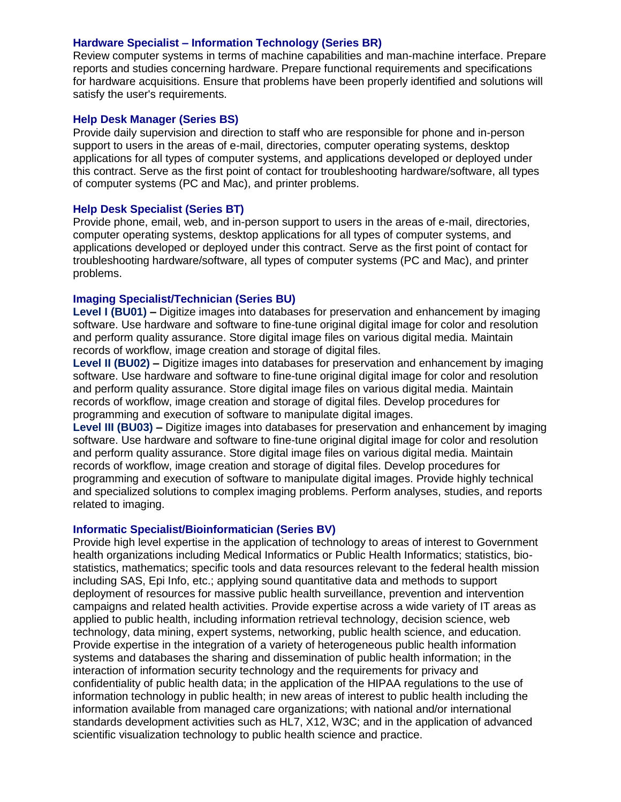#### **Hardware Specialist – Information Technology (Series BR)**

Review computer systems in terms of machine capabilities and man-machine interface. Prepare reports and studies concerning hardware. Prepare functional requirements and specifications for hardware acquisitions. Ensure that problems have been properly identified and solutions will satisfy the user's requirements.

#### **Help Desk Manager (Series BS)**

Provide daily supervision and direction to staff who are responsible for phone and in-person support to users in the areas of e-mail, directories, computer operating systems, desktop applications for all types of computer systems, and applications developed or deployed under this contract. Serve as the first point of contact for troubleshooting hardware/software, all types of computer systems (PC and Mac), and printer problems.

## **Help Desk Specialist (Series BT)**

Provide phone, email, web, and in-person support to users in the areas of e-mail, directories, computer operating systems, desktop applications for all types of computer systems, and applications developed or deployed under this contract. Serve as the first point of contact for troubleshooting hardware/software, all types of computer systems (PC and Mac), and printer problems.

## **Imaging Specialist/Technician (Series BU)**

**Level I (BU01) –** Digitize images into databases for preservation and enhancement by imaging software. Use hardware and software to fine-tune original digital image for color and resolution and perform quality assurance. Store digital image files on various digital media. Maintain records of workflow, image creation and storage of digital files.

**Level II (BU02) –** Digitize images into databases for preservation and enhancement by imaging software. Use hardware and software to fine-tune original digital image for color and resolution and perform quality assurance. Store digital image files on various digital media. Maintain records of workflow, image creation and storage of digital files. Develop procedures for programming and execution of software to manipulate digital images.

**Level III (BU03) –** Digitize images into databases for preservation and enhancement by imaging software. Use hardware and software to fine-tune original digital image for color and resolution and perform quality assurance. Store digital image files on various digital media. Maintain records of workflow, image creation and storage of digital files. Develop procedures for programming and execution of software to manipulate digital images. Provide highly technical and specialized solutions to complex imaging problems. Perform analyses, studies, and reports related to imaging.

#### **Informatic Specialist/Bioinformatician (Series BV)**

Provide high level expertise in the application of technology to areas of interest to Government health organizations including Medical Informatics or Public Health Informatics; statistics, biostatistics, mathematics; specific tools and data resources relevant to the federal health mission including SAS, Epi Info, etc.; applying sound quantitative data and methods to support deployment of resources for massive public health surveillance, prevention and intervention campaigns and related health activities. Provide expertise across a wide variety of IT areas as applied to public health, including information retrieval technology, decision science, web technology, data mining, expert systems, networking, public health science, and education. Provide expertise in the integration of a variety of heterogeneous public health information systems and databases the sharing and dissemination of public health information; in the interaction of information security technology and the requirements for privacy and confidentiality of public health data; in the application of the HIPAA regulations to the use of information technology in public health; in new areas of interest to public health including the information available from managed care organizations; with national and/or international standards development activities such as HL7, X12, W3C; and in the application of advanced scientific visualization technology to public health science and practice.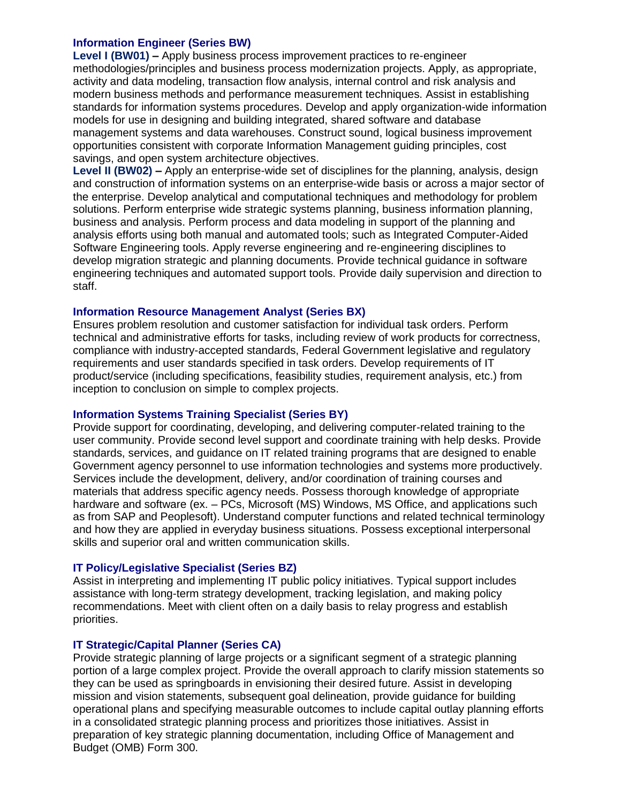## **Information Engineer (Series BW)**

**Level I (BW01) –** Apply business process improvement practices to re-engineer methodologies/principles and business process modernization projects. Apply, as appropriate, activity and data modeling, transaction flow analysis, internal control and risk analysis and modern business methods and performance measurement techniques. Assist in establishing standards for information systems procedures. Develop and apply organization-wide information models for use in designing and building integrated, shared software and database management systems and data warehouses. Construct sound, logical business improvement opportunities consistent with corporate Information Management guiding principles, cost savings, and open system architecture objectives.

**Level II (BW02) –** Apply an enterprise-wide set of disciplines for the planning, analysis, design and construction of information systems on an enterprise-wide basis or across a major sector of the enterprise. Develop analytical and computational techniques and methodology for problem solutions. Perform enterprise wide strategic systems planning, business information planning, business and analysis. Perform process and data modeling in support of the planning and analysis efforts using both manual and automated tools; such as Integrated Computer-Aided Software Engineering tools. Apply reverse engineering and re-engineering disciplines to develop migration strategic and planning documents. Provide technical guidance in software engineering techniques and automated support tools. Provide daily supervision and direction to staff.

## **Information Resource Management Analyst (Series BX)**

Ensures problem resolution and customer satisfaction for individual task orders. Perform technical and administrative efforts for tasks, including review of work products for correctness, compliance with industry-accepted standards, Federal Government legislative and regulatory requirements and user standards specified in task orders. Develop requirements of IT product/service (including specifications, feasibility studies, requirement analysis, etc.) from inception to conclusion on simple to complex projects.

### **Information Systems Training Specialist (Series BY)**

Provide support for coordinating, developing, and delivering computer-related training to the user community. Provide second level support and coordinate training with help desks. Provide standards, services, and guidance on IT related training programs that are designed to enable Government agency personnel to use information technologies and systems more productively. Services include the development, delivery, and/or coordination of training courses and materials that address specific agency needs. Possess thorough knowledge of appropriate hardware and software (ex. – PCs, Microsoft (MS) Windows, MS Office, and applications such as from SAP and Peoplesoft). Understand computer functions and related technical terminology and how they are applied in everyday business situations. Possess exceptional interpersonal skills and superior oral and written communication skills.

## **IT Policy/Legislative Specialist (Series BZ)**

Assist in interpreting and implementing IT public policy initiatives. Typical support includes assistance with long-term strategy development, tracking legislation, and making policy recommendations. Meet with client often on a daily basis to relay progress and establish priorities.

#### **IT Strategic/Capital Planner (Series CA)**

Provide strategic planning of large projects or a significant segment of a strategic planning portion of a large complex project. Provide the overall approach to clarify mission statements so they can be used as springboards in envisioning their desired future. Assist in developing mission and vision statements, subsequent goal delineation, provide guidance for building operational plans and specifying measurable outcomes to include capital outlay planning efforts in a consolidated strategic planning process and prioritizes those initiatives. Assist in preparation of key strategic planning documentation, including Office of Management and Budget (OMB) Form 300.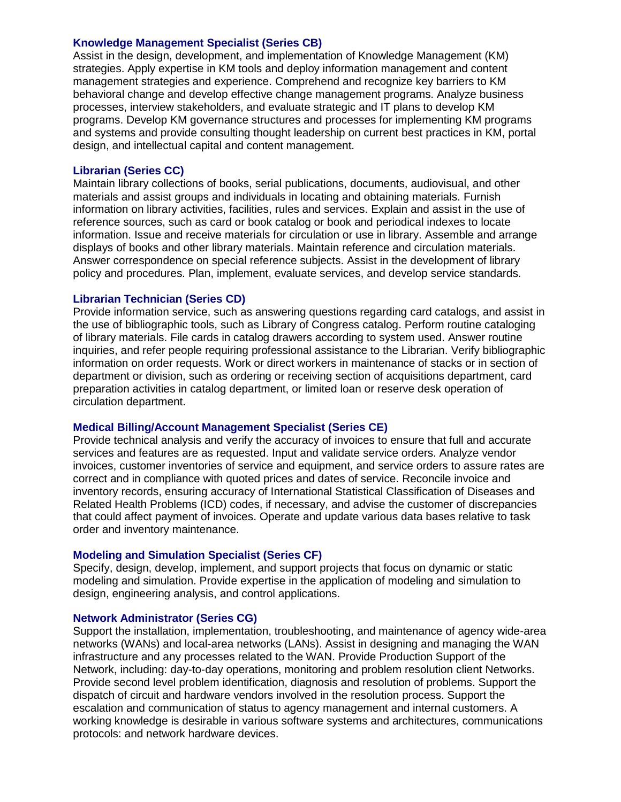#### **Knowledge Management Specialist (Series CB)**

Assist in the design, development, and implementation of Knowledge Management (KM) strategies. Apply expertise in KM tools and deploy information management and content management strategies and experience. Comprehend and recognize key barriers to KM behavioral change and develop effective change management programs. Analyze business processes, interview stakeholders, and evaluate strategic and IT plans to develop KM programs. Develop KM governance structures and processes for implementing KM programs and systems and provide consulting thought leadership on current best practices in KM, portal design, and intellectual capital and content management.

### **Librarian (Series CC)**

Maintain library collections of books, serial publications, documents, audiovisual, and other materials and assist groups and individuals in locating and obtaining materials. Furnish information on library activities, facilities, rules and services. Explain and assist in the use of reference sources, such as card or book catalog or book and periodical indexes to locate information. Issue and receive materials for circulation or use in library. Assemble and arrange displays of books and other library materials. Maintain reference and circulation materials. Answer correspondence on special reference subjects. Assist in the development of library policy and procedures. Plan, implement, evaluate services, and develop service standards.

## **Librarian Technician (Series CD)**

Provide information service, such as answering questions regarding card catalogs, and assist in the use of bibliographic tools, such as Library of Congress catalog. Perform routine cataloging of library materials. File cards in catalog drawers according to system used. Answer routine inquiries, and refer people requiring professional assistance to the Librarian. Verify bibliographic information on order requests. Work or direct workers in maintenance of stacks or in section of department or division, such as ordering or receiving section of acquisitions department, card preparation activities in catalog department, or limited loan or reserve desk operation of circulation department.

#### **Medical Billing/Account Management Specialist (Series CE)**

Provide technical analysis and verify the accuracy of invoices to ensure that full and accurate services and features are as requested. Input and validate service orders. Analyze vendor invoices, customer inventories of service and equipment, and service orders to assure rates are correct and in compliance with quoted prices and dates of service. Reconcile invoice and inventory records, ensuring accuracy of International Statistical Classification of Diseases and Related Health Problems (ICD) codes, if necessary, and advise the customer of discrepancies that could affect payment of invoices. Operate and update various data bases relative to task order and inventory maintenance.

#### **Modeling and Simulation Specialist (Series CF)**

Specify, design, develop, implement, and support projects that focus on dynamic or static modeling and simulation. Provide expertise in the application of modeling and simulation to design, engineering analysis, and control applications.

#### **Network Administrator (Series CG)**

Support the installation, implementation, troubleshooting, and maintenance of agency wide-area networks (WANs) and local-area networks (LANs). Assist in designing and managing the WAN infrastructure and any processes related to the WAN. Provide Production Support of the Network, including: day-to-day operations, monitoring and problem resolution client Networks. Provide second level problem identification, diagnosis and resolution of problems. Support the dispatch of circuit and hardware vendors involved in the resolution process. Support the escalation and communication of status to agency management and internal customers. A working knowledge is desirable in various software systems and architectures, communications protocols: and network hardware devices.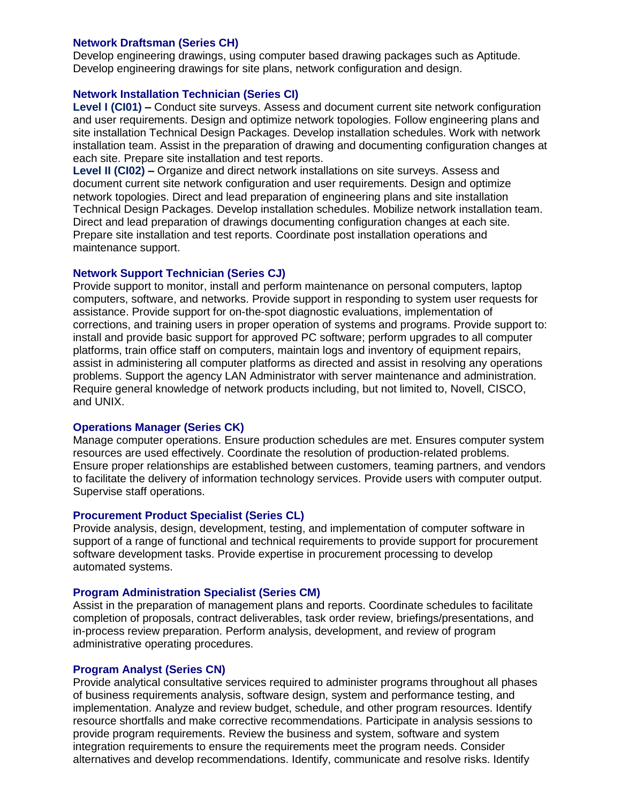### **Network Draftsman (Series CH)**

Develop engineering drawings, using computer based drawing packages such as Aptitude. Develop engineering drawings for site plans, network configuration and design.

## **Network Installation Technician (Series CI)**

**Level I (CI01) –** Conduct site surveys. Assess and document current site network configuration and user requirements. Design and optimize network topologies. Follow engineering plans and site installation Technical Design Packages. Develop installation schedules. Work with network installation team. Assist in the preparation of drawing and documenting configuration changes at each site. Prepare site installation and test reports.

**Level II (CI02) –** Organize and direct network installations on site surveys. Assess and document current site network configuration and user requirements. Design and optimize network topologies. Direct and lead preparation of engineering plans and site installation Technical Design Packages. Develop installation schedules. Mobilize network installation team. Direct and lead preparation of drawings documenting configuration changes at each site. Prepare site installation and test reports. Coordinate post installation operations and maintenance support.

## **Network Support Technician (Series CJ)**

Provide support to monitor, install and perform maintenance on personal computers, laptop computers, software, and networks. Provide support in responding to system user requests for assistance. Provide support for on-the-spot diagnostic evaluations, implementation of corrections, and training users in proper operation of systems and programs. Provide support to: install and provide basic support for approved PC software; perform upgrades to all computer platforms, train office staff on computers, maintain logs and inventory of equipment repairs, assist in administering all computer platforms as directed and assist in resolving any operations problems. Support the agency LAN Administrator with server maintenance and administration. Require general knowledge of network products including, but not limited to, Novell, CISCO, and UNIX.

#### **Operations Manager (Series CK)**

Manage computer operations. Ensure production schedules are met. Ensures computer system resources are used effectively. Coordinate the resolution of production-related problems. Ensure proper relationships are established between customers, teaming partners, and vendors to facilitate the delivery of information technology services. Provide users with computer output. Supervise staff operations.

#### **Procurement Product Specialist (Series CL)**

Provide analysis, design, development, testing, and implementation of computer software in support of a range of functional and technical requirements to provide support for procurement software development tasks. Provide expertise in procurement processing to develop automated systems.

#### **Program Administration Specialist (Series CM)**

Assist in the preparation of management plans and reports. Coordinate schedules to facilitate completion of proposals, contract deliverables, task order review, briefings/presentations, and in-process review preparation. Perform analysis, development, and review of program administrative operating procedures.

#### **Program Analyst (Series CN)**

Provide analytical consultative services required to administer programs throughout all phases of business requirements analysis, software design, system and performance testing, and implementation. Analyze and review budget, schedule, and other program resources. Identify resource shortfalls and make corrective recommendations. Participate in analysis sessions to provide program requirements. Review the business and system, software and system integration requirements to ensure the requirements meet the program needs. Consider alternatives and develop recommendations. Identify, communicate and resolve risks. Identify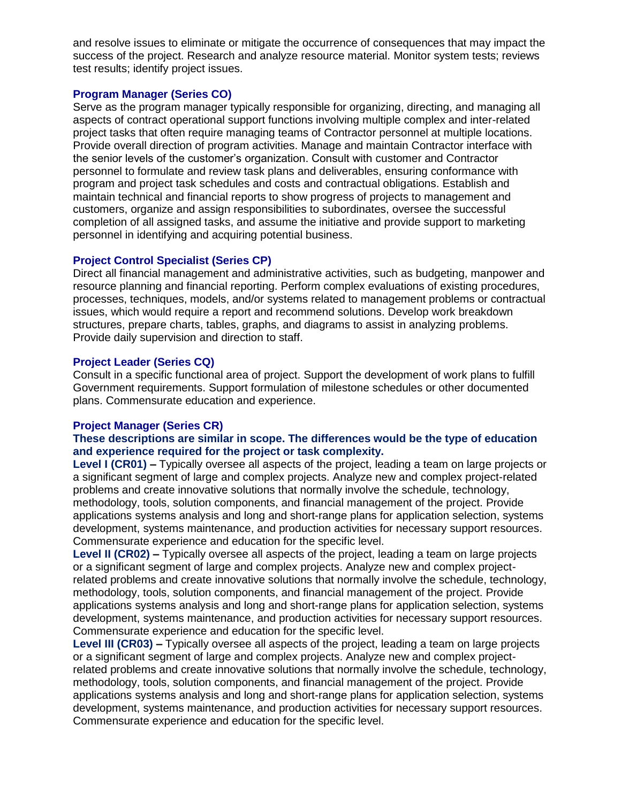and resolve issues to eliminate or mitigate the occurrence of consequences that may impact the success of the project. Research and analyze resource material. Monitor system tests; reviews test results; identify project issues.

## **Program Manager (Series CO)**

Serve as the program manager typically responsible for organizing, directing, and managing all aspects of contract operational support functions involving multiple complex and inter-related project tasks that often require managing teams of Contractor personnel at multiple locations. Provide overall direction of program activities. Manage and maintain Contractor interface with the senior levels of the customer's organization. Consult with customer and Contractor personnel to formulate and review task plans and deliverables, ensuring conformance with program and project task schedules and costs and contractual obligations. Establish and maintain technical and financial reports to show progress of projects to management and customers, organize and assign responsibilities to subordinates, oversee the successful completion of all assigned tasks, and assume the initiative and provide support to marketing personnel in identifying and acquiring potential business.

## **Project Control Specialist (Series CP)**

Direct all financial management and administrative activities, such as budgeting, manpower and resource planning and financial reporting. Perform complex evaluations of existing procedures, processes, techniques, models, and/or systems related to management problems or contractual issues, which would require a report and recommend solutions. Develop work breakdown structures, prepare charts, tables, graphs, and diagrams to assist in analyzing problems. Provide daily supervision and direction to staff.

## **Project Leader (Series CQ)**

Consult in a specific functional area of project. Support the development of work plans to fulfill Government requirements. Support formulation of milestone schedules or other documented plans. Commensurate education and experience.

#### **Project Manager (Series CR)**

## **These descriptions are similar in scope. The differences would be the type of education and experience required for the project or task complexity.**

**Level I (CR01) –** Typically oversee all aspects of the project, leading a team on large projects or a significant segment of large and complex projects. Analyze new and complex project-related problems and create innovative solutions that normally involve the schedule, technology, methodology, tools, solution components, and financial management of the project. Provide applications systems analysis and long and short-range plans for application selection, systems development, systems maintenance, and production activities for necessary support resources. Commensurate experience and education for the specific level.

**Level II (CR02) –** Typically oversee all aspects of the project, leading a team on large projects or a significant segment of large and complex projects. Analyze new and complex projectrelated problems and create innovative solutions that normally involve the schedule, technology, methodology, tools, solution components, and financial management of the project. Provide applications systems analysis and long and short-range plans for application selection, systems development, systems maintenance, and production activities for necessary support resources. Commensurate experience and education for the specific level.

**Level III (CR03) –** Typically oversee all aspects of the project, leading a team on large projects or a significant segment of large and complex projects. Analyze new and complex projectrelated problems and create innovative solutions that normally involve the schedule, technology, methodology, tools, solution components, and financial management of the project. Provide applications systems analysis and long and short-range plans for application selection, systems development, systems maintenance, and production activities for necessary support resources. Commensurate experience and education for the specific level.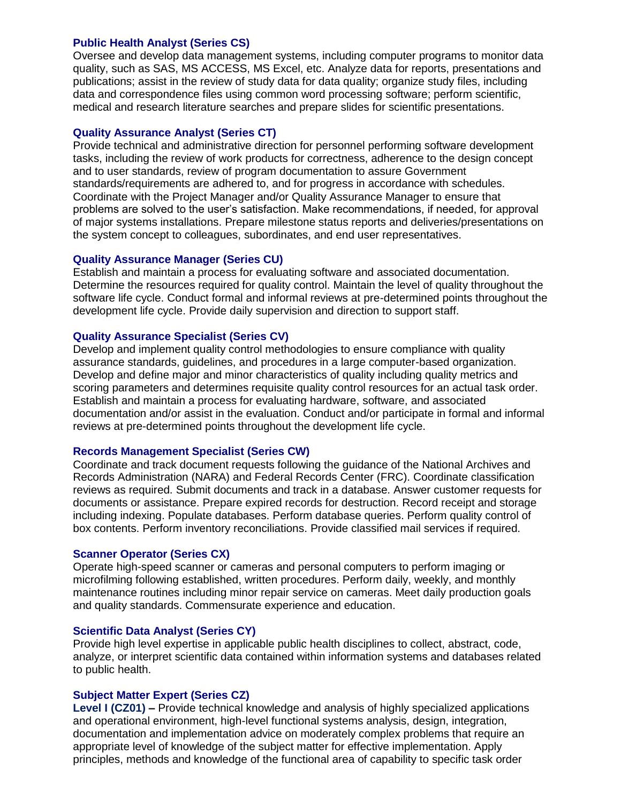#### **Public Health Analyst (Series CS)**

Oversee and develop data management systems, including computer programs to monitor data quality, such as SAS, MS ACCESS, MS Excel, etc. Analyze data for reports, presentations and publications; assist in the review of study data for data quality; organize study files, including data and correspondence files using common word processing software; perform scientific, medical and research literature searches and prepare slides for scientific presentations.

#### **Quality Assurance Analyst (Series CT)**

Provide technical and administrative direction for personnel performing software development tasks, including the review of work products for correctness, adherence to the design concept and to user standards, review of program documentation to assure Government standards/requirements are adhered to, and for progress in accordance with schedules. Coordinate with the Project Manager and/or Quality Assurance Manager to ensure that problems are solved to the user's satisfaction. Make recommendations, if needed, for approval of major systems installations. Prepare milestone status reports and deliveries/presentations on the system concept to colleagues, subordinates, and end user representatives.

#### **Quality Assurance Manager (Series CU)**

Establish and maintain a process for evaluating software and associated documentation. Determine the resources required for quality control. Maintain the level of quality throughout the software life cycle. Conduct formal and informal reviews at pre-determined points throughout the development life cycle. Provide daily supervision and direction to support staff.

#### **Quality Assurance Specialist (Series CV)**

Develop and implement quality control methodologies to ensure compliance with quality assurance standards, guidelines, and procedures in a large computer-based organization. Develop and define major and minor characteristics of quality including quality metrics and scoring parameters and determines requisite quality control resources for an actual task order. Establish and maintain a process for evaluating hardware, software, and associated documentation and/or assist in the evaluation. Conduct and/or participate in formal and informal reviews at pre-determined points throughout the development life cycle.

#### **Records Management Specialist (Series CW)**

Coordinate and track document requests following the guidance of the National Archives and Records Administration (NARA) and Federal Records Center (FRC). Coordinate classification reviews as required. Submit documents and track in a database. Answer customer requests for documents or assistance. Prepare expired records for destruction. Record receipt and storage including indexing. Populate databases. Perform database queries. Perform quality control of box contents. Perform inventory reconciliations. Provide classified mail services if required.

#### **Scanner Operator (Series CX)**

Operate high-speed scanner or cameras and personal computers to perform imaging or microfilming following established, written procedures. Perform daily, weekly, and monthly maintenance routines including minor repair service on cameras. Meet daily production goals and quality standards. Commensurate experience and education.

#### **Scientific Data Analyst (Series CY)**

Provide high level expertise in applicable public health disciplines to collect, abstract, code, analyze, or interpret scientific data contained within information systems and databases related to public health.

#### **Subject Matter Expert (Series CZ)**

**Level I (CZ01) –** Provide technical knowledge and analysis of highly specialized applications and operational environment, high-level functional systems analysis, design, integration, documentation and implementation advice on moderately complex problems that require an appropriate level of knowledge of the subject matter for effective implementation. Apply principles, methods and knowledge of the functional area of capability to specific task order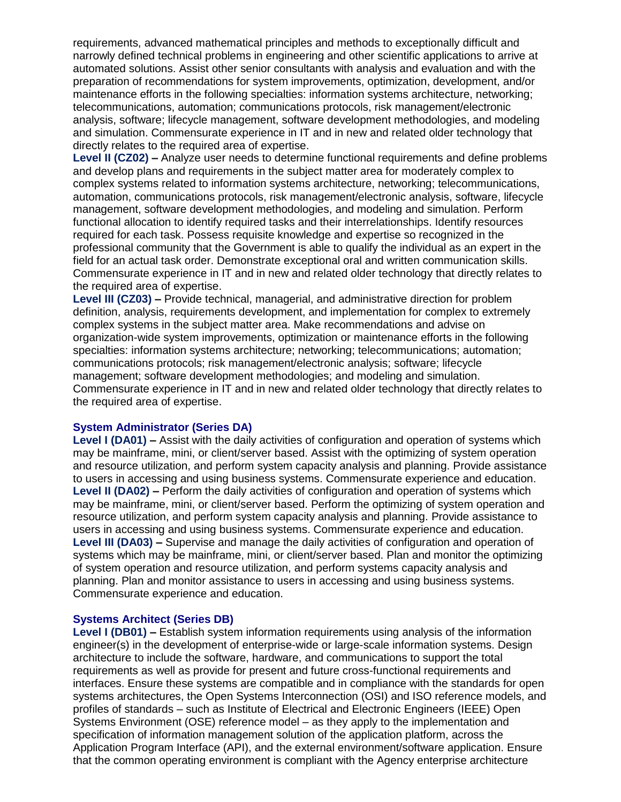requirements, advanced mathematical principles and methods to exceptionally difficult and narrowly defined technical problems in engineering and other scientific applications to arrive at automated solutions. Assist other senior consultants with analysis and evaluation and with the preparation of recommendations for system improvements, optimization, development, and/or maintenance efforts in the following specialties: information systems architecture, networking; telecommunications, automation; communications protocols, risk management/electronic analysis, software; lifecycle management, software development methodologies, and modeling and simulation. Commensurate experience in IT and in new and related older technology that directly relates to the required area of expertise.

**Level II (CZ02) –** Analyze user needs to determine functional requirements and define problems and develop plans and requirements in the subject matter area for moderately complex to complex systems related to information systems architecture, networking; telecommunications, automation, communications protocols, risk management/electronic analysis, software, lifecycle management, software development methodologies, and modeling and simulation. Perform functional allocation to identify required tasks and their interrelationships. Identify resources required for each task. Possess requisite knowledge and expertise so recognized in the professional community that the Government is able to qualify the individual as an expert in the field for an actual task order. Demonstrate exceptional oral and written communication skills. Commensurate experience in IT and in new and related older technology that directly relates to the required area of expertise.

**Level III (CZ03) –** Provide technical, managerial, and administrative direction for problem definition, analysis, requirements development, and implementation for complex to extremely complex systems in the subject matter area. Make recommendations and advise on organization-wide system improvements, optimization or maintenance efforts in the following specialties: information systems architecture; networking; telecommunications; automation; communications protocols; risk management/electronic analysis; software; lifecycle management; software development methodologies; and modeling and simulation. Commensurate experience in IT and in new and related older technology that directly relates to the required area of expertise.

#### **System Administrator (Series DA)**

**Level I (DA01) –** Assist with the daily activities of configuration and operation of systems which may be mainframe, mini, or client/server based. Assist with the optimizing of system operation and resource utilization, and perform system capacity analysis and planning. Provide assistance to users in accessing and using business systems. Commensurate experience and education. **Level II (DA02) –** Perform the daily activities of configuration and operation of systems which may be mainframe, mini, or client/server based. Perform the optimizing of system operation and resource utilization, and perform system capacity analysis and planning. Provide assistance to users in accessing and using business systems. Commensurate experience and education. **Level III (DA03) –** Supervise and manage the daily activities of configuration and operation of systems which may be mainframe, mini, or client/server based. Plan and monitor the optimizing of system operation and resource utilization, and perform systems capacity analysis and planning. Plan and monitor assistance to users in accessing and using business systems. Commensurate experience and education.

#### **Systems Architect (Series DB)**

**Level I (DB01) –** Establish system information requirements using analysis of the information engineer(s) in the development of enterprise-wide or large-scale information systems. Design architecture to include the software, hardware, and communications to support the total requirements as well as provide for present and future cross-functional requirements and interfaces. Ensure these systems are compatible and in compliance with the standards for open systems architectures, the Open Systems Interconnection (OSI) and ISO reference models, and profiles of standards – such as Institute of Electrical and Electronic Engineers (IEEE) Open Systems Environment (OSE) reference model – as they apply to the implementation and specification of information management solution of the application platform, across the Application Program Interface (API), and the external environment/software application. Ensure that the common operating environment is compliant with the Agency enterprise architecture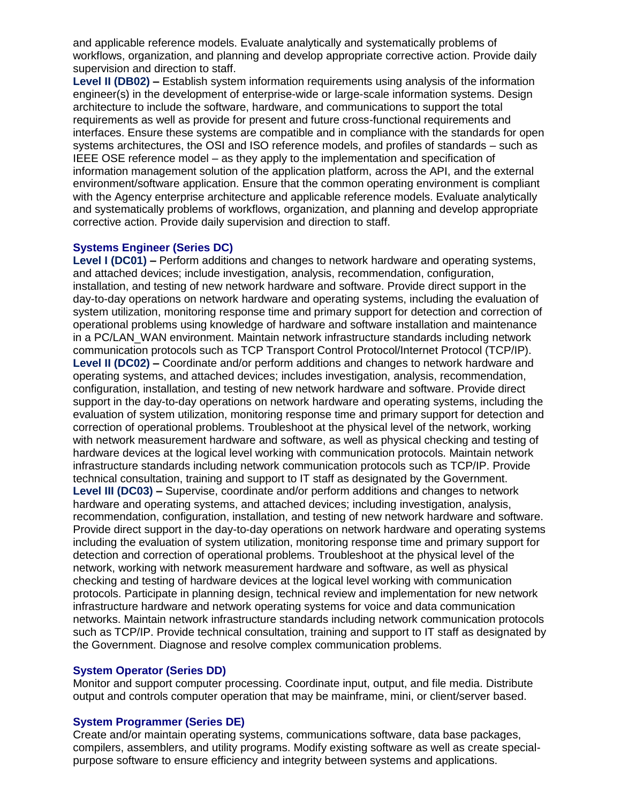and applicable reference models. Evaluate analytically and systematically problems of workflows, organization, and planning and develop appropriate corrective action. Provide daily supervision and direction to staff.

**Level II (DB02) –** Establish system information requirements using analysis of the information engineer(s) in the development of enterprise-wide or large-scale information systems. Design architecture to include the software, hardware, and communications to support the total requirements as well as provide for present and future cross-functional requirements and interfaces. Ensure these systems are compatible and in compliance with the standards for open systems architectures, the OSI and ISO reference models, and profiles of standards – such as IEEE OSE reference model – as they apply to the implementation and specification of information management solution of the application platform, across the API, and the external environment/software application. Ensure that the common operating environment is compliant with the Agency enterprise architecture and applicable reference models. Evaluate analytically and systematically problems of workflows, organization, and planning and develop appropriate corrective action. Provide daily supervision and direction to staff.

#### **Systems Engineer (Series DC)**

**Level I (DC01) –** Perform additions and changes to network hardware and operating systems, and attached devices; include investigation, analysis, recommendation, configuration, installation, and testing of new network hardware and software. Provide direct support in the day-to-day operations on network hardware and operating systems, including the evaluation of system utilization, monitoring response time and primary support for detection and correction of operational problems using knowledge of hardware and software installation and maintenance in a PC/LAN\_WAN environment. Maintain network infrastructure standards including network communication protocols such as TCP Transport Control Protocol/Internet Protocol (TCP/IP). **Level II (DC02) –** Coordinate and/or perform additions and changes to network hardware and operating systems, and attached devices; includes investigation, analysis, recommendation, configuration, installation, and testing of new network hardware and software. Provide direct support in the day-to-day operations on network hardware and operating systems, including the evaluation of system utilization, monitoring response time and primary support for detection and correction of operational problems. Troubleshoot at the physical level of the network, working with network measurement hardware and software, as well as physical checking and testing of hardware devices at the logical level working with communication protocols. Maintain network infrastructure standards including network communication protocols such as TCP/IP. Provide technical consultation, training and support to IT staff as designated by the Government. **Level III (DC03) –** Supervise, coordinate and/or perform additions and changes to network hardware and operating systems, and attached devices; including investigation, analysis, recommendation, configuration, installation, and testing of new network hardware and software. Provide direct support in the day-to-day operations on network hardware and operating systems including the evaluation of system utilization, monitoring response time and primary support for detection and correction of operational problems. Troubleshoot at the physical level of the network, working with network measurement hardware and software, as well as physical checking and testing of hardware devices at the logical level working with communication protocols. Participate in planning design, technical review and implementation for new network infrastructure hardware and network operating systems for voice and data communication networks. Maintain network infrastructure standards including network communication protocols such as TCP/IP. Provide technical consultation, training and support to IT staff as designated by the Government. Diagnose and resolve complex communication problems.

#### **System Operator (Series DD)**

Monitor and support computer processing. Coordinate input, output, and file media. Distribute output and controls computer operation that may be mainframe, mini, or client/server based.

## **System Programmer (Series DE)**

Create and/or maintain operating systems, communications software, data base packages, compilers, assemblers, and utility programs. Modify existing software as well as create specialpurpose software to ensure efficiency and integrity between systems and applications.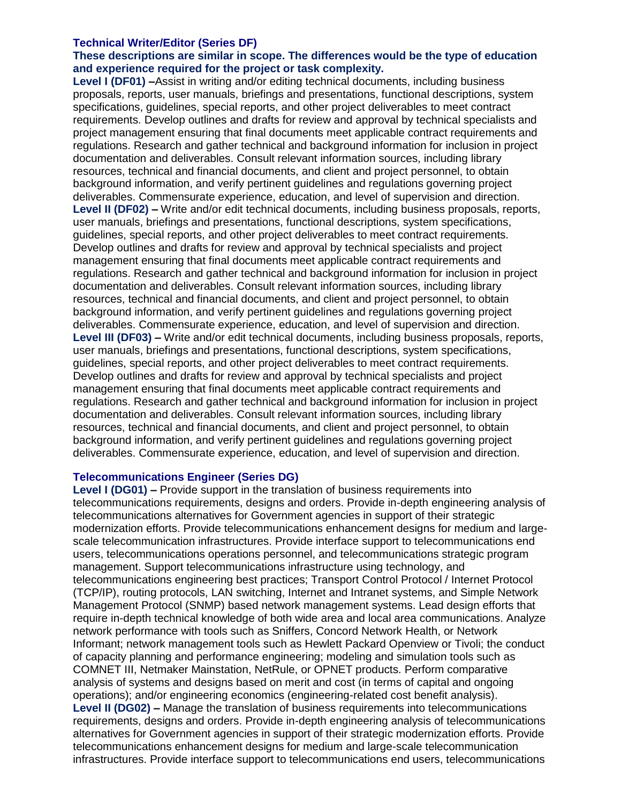#### **Technical Writer/Editor (Series DF)**

## **These descriptions are similar in scope. The differences would be the type of education and experience required for the project or task complexity.**

**Level I (DF01) –**Assist in writing and/or editing technical documents, including business proposals, reports, user manuals, briefings and presentations, functional descriptions, system specifications, guidelines, special reports, and other project deliverables to meet contract requirements. Develop outlines and drafts for review and approval by technical specialists and project management ensuring that final documents meet applicable contract requirements and regulations. Research and gather technical and background information for inclusion in project documentation and deliverables. Consult relevant information sources, including library resources, technical and financial documents, and client and project personnel, to obtain background information, and verify pertinent guidelines and regulations governing project deliverables. Commensurate experience, education, and level of supervision and direction. **Level II (DF02) –** Write and/or edit technical documents, including business proposals, reports, user manuals, briefings and presentations, functional descriptions, system specifications, guidelines, special reports, and other project deliverables to meet contract requirements. Develop outlines and drafts for review and approval by technical specialists and project management ensuring that final documents meet applicable contract requirements and regulations. Research and gather technical and background information for inclusion in project documentation and deliverables. Consult relevant information sources, including library resources, technical and financial documents, and client and project personnel, to obtain background information, and verify pertinent guidelines and regulations governing project deliverables. Commensurate experience, education, and level of supervision and direction. **Level III (DF03) –** Write and/or edit technical documents, including business proposals, reports, user manuals, briefings and presentations, functional descriptions, system specifications, guidelines, special reports, and other project deliverables to meet contract requirements. Develop outlines and drafts for review and approval by technical specialists and project management ensuring that final documents meet applicable contract requirements and regulations. Research and gather technical and background information for inclusion in project documentation and deliverables. Consult relevant information sources, including library resources, technical and financial documents, and client and project personnel, to obtain background information, and verify pertinent guidelines and regulations governing project deliverables. Commensurate experience, education, and level of supervision and direction.

## **Telecommunications Engineer (Series DG)**

**Level I (DG01) –** Provide support in the translation of business requirements into telecommunications requirements, designs and orders. Provide in-depth engineering analysis of telecommunications alternatives for Government agencies in support of their strategic modernization efforts. Provide telecommunications enhancement designs for medium and largescale telecommunication infrastructures. Provide interface support to telecommunications end users, telecommunications operations personnel, and telecommunications strategic program management. Support telecommunications infrastructure using technology, and telecommunications engineering best practices; Transport Control Protocol / Internet Protocol (TCP/IP), routing protocols, LAN switching, Internet and Intranet systems, and Simple Network Management Protocol (SNMP) based network management systems. Lead design efforts that require in-depth technical knowledge of both wide area and local area communications. Analyze network performance with tools such as Sniffers, Concord Network Health, or Network Informant; network management tools such as Hewlett Packard Openview or Tivoli; the conduct of capacity planning and performance engineering; modeling and simulation tools such as COMNET III, Netmaker Mainstation, NetRule, or OPNET products. Perform comparative analysis of systems and designs based on merit and cost (in terms of capital and ongoing operations); and/or engineering economics (engineering-related cost benefit analysis). **Level II (DG02) –** Manage the translation of business requirements into telecommunications requirements, designs and orders. Provide in-depth engineering analysis of telecommunications alternatives for Government agencies in support of their strategic modernization efforts. Provide telecommunications enhancement designs for medium and large-scale telecommunication infrastructures. Provide interface support to telecommunications end users, telecommunications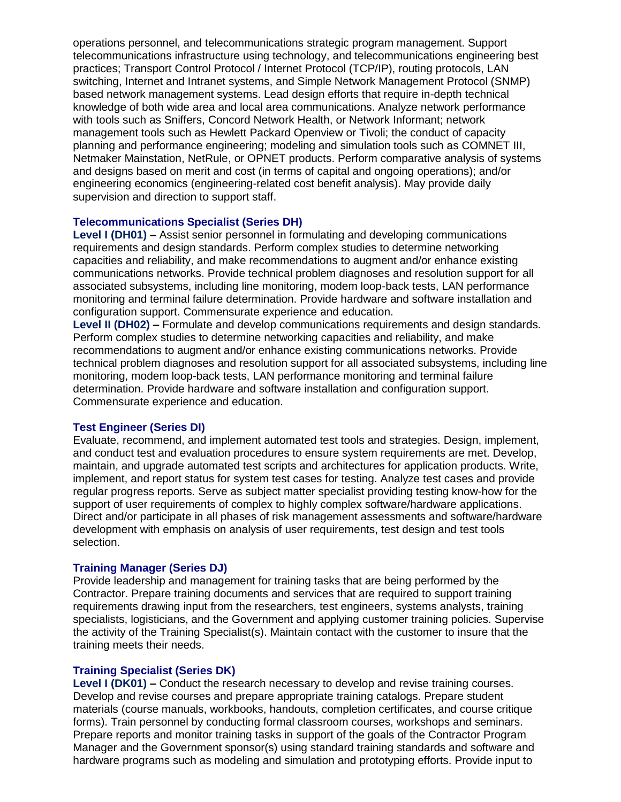operations personnel, and telecommunications strategic program management. Support telecommunications infrastructure using technology, and telecommunications engineering best practices; Transport Control Protocol / Internet Protocol (TCP/IP), routing protocols, LAN switching, Internet and Intranet systems, and Simple Network Management Protocol (SNMP) based network management systems. Lead design efforts that require in-depth technical knowledge of both wide area and local area communications. Analyze network performance with tools such as Sniffers, Concord Network Health, or Network Informant; network management tools such as Hewlett Packard Openview or Tivoli; the conduct of capacity planning and performance engineering; modeling and simulation tools such as COMNET III, Netmaker Mainstation, NetRule, or OPNET products. Perform comparative analysis of systems and designs based on merit and cost (in terms of capital and ongoing operations); and/or engineering economics (engineering-related cost benefit analysis). May provide daily supervision and direction to support staff.

#### **Telecommunications Specialist (Series DH)**

**Level I (DH01) –** Assist senior personnel in formulating and developing communications requirements and design standards. Perform complex studies to determine networking capacities and reliability, and make recommendations to augment and/or enhance existing communications networks. Provide technical problem diagnoses and resolution support for all associated subsystems, including line monitoring, modem loop-back tests, LAN performance monitoring and terminal failure determination. Provide hardware and software installation and configuration support. Commensurate experience and education.

**Level II (DH02) –** Formulate and develop communications requirements and design standards. Perform complex studies to determine networking capacities and reliability, and make recommendations to augment and/or enhance existing communications networks. Provide technical problem diagnoses and resolution support for all associated subsystems, including line monitoring, modem loop-back tests, LAN performance monitoring and terminal failure determination. Provide hardware and software installation and configuration support. Commensurate experience and education.

#### **Test Engineer (Series DI)**

Evaluate, recommend, and implement automated test tools and strategies. Design, implement, and conduct test and evaluation procedures to ensure system requirements are met. Develop, maintain, and upgrade automated test scripts and architectures for application products. Write, implement, and report status for system test cases for testing. Analyze test cases and provide regular progress reports. Serve as subject matter specialist providing testing know-how for the support of user requirements of complex to highly complex software/hardware applications. Direct and/or participate in all phases of risk management assessments and software/hardware development with emphasis on analysis of user requirements, test design and test tools selection.

#### **Training Manager (Series DJ)**

Provide leadership and management for training tasks that are being performed by the Contractor. Prepare training documents and services that are required to support training requirements drawing input from the researchers, test engineers, systems analysts, training specialists, logisticians, and the Government and applying customer training policies. Supervise the activity of the Training Specialist(s). Maintain contact with the customer to insure that the training meets their needs.

#### **Training Specialist (Series DK)**

**Level I (DK01) –** Conduct the research necessary to develop and revise training courses. Develop and revise courses and prepare appropriate training catalogs. Prepare student materials (course manuals, workbooks, handouts, completion certificates, and course critique forms). Train personnel by conducting formal classroom courses, workshops and seminars. Prepare reports and monitor training tasks in support of the goals of the Contractor Program Manager and the Government sponsor(s) using standard training standards and software and hardware programs such as modeling and simulation and prototyping efforts. Provide input to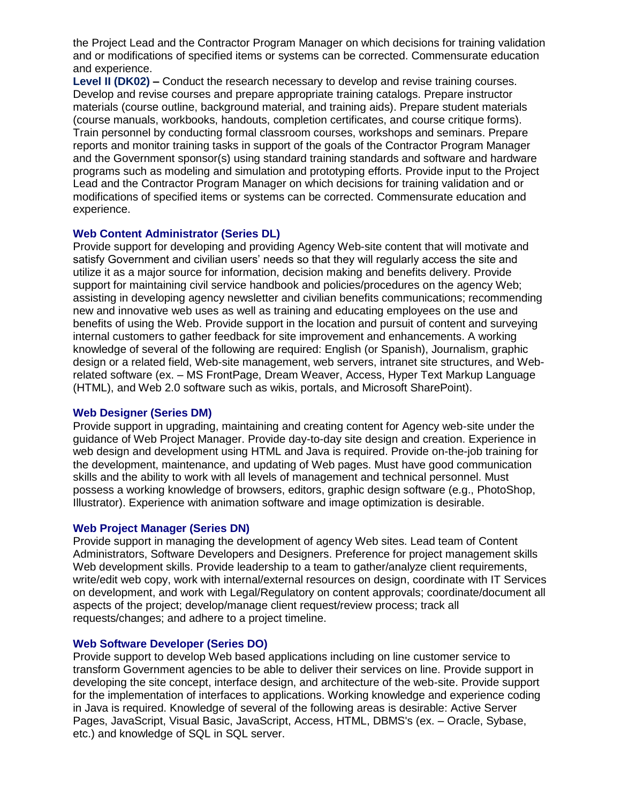the Project Lead and the Contractor Program Manager on which decisions for training validation and or modifications of specified items or systems can be corrected. Commensurate education and experience.

**Level II (DK02) –** Conduct the research necessary to develop and revise training courses. Develop and revise courses and prepare appropriate training catalogs. Prepare instructor materials (course outline, background material, and training aids). Prepare student materials (course manuals, workbooks, handouts, completion certificates, and course critique forms). Train personnel by conducting formal classroom courses, workshops and seminars. Prepare reports and monitor training tasks in support of the goals of the Contractor Program Manager and the Government sponsor(s) using standard training standards and software and hardware programs such as modeling and simulation and prototyping efforts. Provide input to the Project Lead and the Contractor Program Manager on which decisions for training validation and or modifications of specified items or systems can be corrected. Commensurate education and experience.

## **Web Content Administrator (Series DL)**

Provide support for developing and providing Agency Web-site content that will motivate and satisfy Government and civilian users' needs so that they will regularly access the site and utilize it as a major source for information, decision making and benefits delivery. Provide support for maintaining civil service handbook and policies/procedures on the agency Web; assisting in developing agency newsletter and civilian benefits communications; recommending new and innovative web uses as well as training and educating employees on the use and benefits of using the Web. Provide support in the location and pursuit of content and surveying internal customers to gather feedback for site improvement and enhancements. A working knowledge of several of the following are required: English (or Spanish), Journalism, graphic design or a related field, Web-site management, web servers, intranet site structures, and Webrelated software (ex. – MS FrontPage, Dream Weaver, Access, Hyper Text Markup Language (HTML), and Web 2.0 software such as wikis, portals, and Microsoft SharePoint).

#### **Web Designer (Series DM)**

Provide support in upgrading, maintaining and creating content for Agency web-site under the guidance of Web Project Manager. Provide day-to-day site design and creation. Experience in web design and development using HTML and Java is required. Provide on-the-job training for the development, maintenance, and updating of Web pages. Must have good communication skills and the ability to work with all levels of management and technical personnel. Must possess a working knowledge of browsers, editors, graphic design software (e.g., PhotoShop, Illustrator). Experience with animation software and image optimization is desirable.

#### **Web Project Manager (Series DN)**

Provide support in managing the development of agency Web sites. Lead team of Content Administrators, Software Developers and Designers. Preference for project management skills Web development skills. Provide leadership to a team to gather/analyze client requirements, write/edit web copy, work with internal/external resources on design, coordinate with IT Services on development, and work with Legal/Regulatory on content approvals; coordinate/document all aspects of the project; develop/manage client request/review process; track all requests/changes; and adhere to a project timeline.

#### **Web Software Developer (Series DO)**

Provide support to develop Web based applications including on line customer service to transform Government agencies to be able to deliver their services on line. Provide support in developing the site concept, interface design, and architecture of the web-site. Provide support for the implementation of interfaces to applications. Working knowledge and experience coding in Java is required. Knowledge of several of the following areas is desirable: Active Server Pages, JavaScript, Visual Basic, JavaScript, Access, HTML, DBMS's (ex. – Oracle, Sybase, etc.) and knowledge of SQL in SQL server.